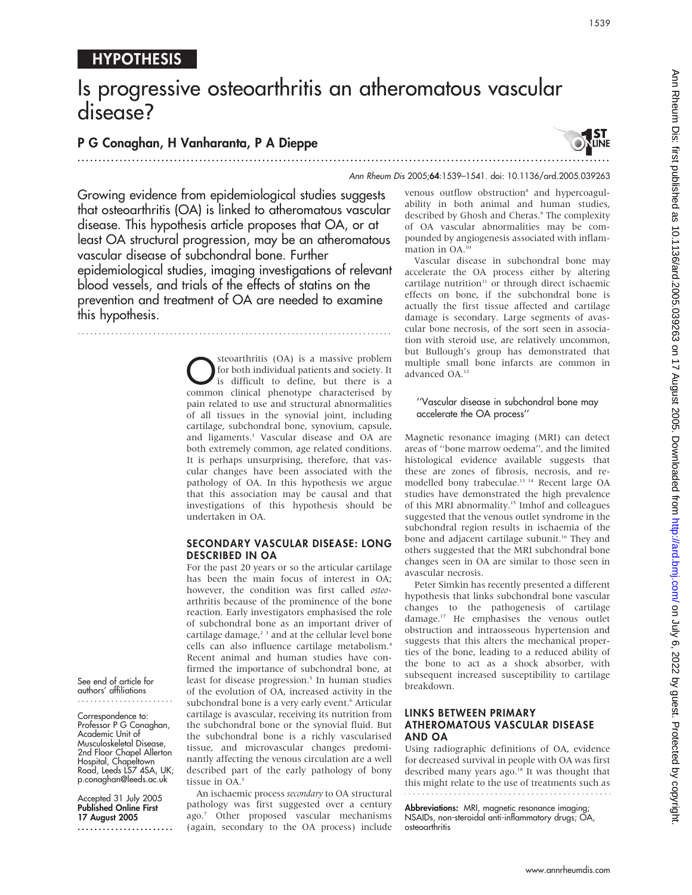# HYPOTHESIS

See end of article for authors' affiliations

Correspondence to: Professor P G Conaghan, Academic Unit of Musculoskeletal Disease, 2nd Floor Chapel Allerton Hospital, Chapeltown Road, Leeds LS7 4SA, UK; p.conaghan@leeds.ac.uk Accepted 31 July 2005 Published Online First 17 August 2005 .......................

# Is progressive osteoarthritis an atheromatous vascular disease?

## P G Conaghan, H Vanharanta, P A Dieppe ...............................................................................................................................



1539

## Ann Rheum Dis 2005;64:1539–1541. doi: 10.1136/ard.2005.039263

Growing evidence from epidemiological studies suggests that osteoarthritis (OA) is linked to atheromatous vascular disease. This hypothesis article proposes that OA, or at least OA structural progression, may be an atheromatous vascular disease of subchondral bone. Further epidemiological studies, imaging investigations of relevant blood vessels, and trials of the effects of statins on the prevention and treatment of OA are needed to examine this hypothesis.

...........................................................................

**C** steoarthritis (OA) is a massive problem<br>for both individual patients and society. It<br>is difficult to define, but there is a<br>common clinical phonotime characterised by for both individual patients and society. It is difficult to define, but there is a common clinical phenotype characterised by pain related to use and structural abnormalities of all tissues in the synovial joint, including cartilage, subchondral bone, synovium, capsule, and ligaments.<sup>1</sup> Vascular disease and OA are both extremely common, age related conditions. It is perhaps unsurprising, therefore, that vascular changes have been associated with the pathology of OA. In this hypothesis we argue that this association may be causal and that investigations of this hypothesis should be undertaken in OA.

#### SECONDARY VASCULAR DISEASE: LONG DESCRIBED IN OA

For the past 20 years or so the articular cartilage has been the main focus of interest in OA; however, the condition was first called osteoarthritis because of the prominence of the bone reaction. Early investigators emphasised the role of subchondral bone as an important driver of cartilage damage, $2^3$  and at the cellular level bone cells can also influence cartilage metabolism.4 Recent animal and human studies have confirmed the importance of subchondral bone, at least for disease progression.<sup>5</sup> In human studies of the evolution of OA, increased activity in the subchondral bone is a very early event.<sup>6</sup> Articular cartilage is avascular, receiving its nutrition from the subchondral bone or the synovial fluid. But the subchondral bone is a richly vascularised tissue, and microvascular changes predominantly affecting the venous circulation are a well described part of the early pathology of bony tissue in OA.<sup>3</sup>

An ischaemic process secondary to OA structural pathology was first suggested over a century ago.7 Other proposed vascular mechanisms (again, secondary to the OA process) include

venous outflow obstruction<sup>8</sup> and hypercoagulability in both animal and human studies, described by Ghosh and Cheras.<sup>9</sup> The complexity of OA vascular abnormalities may be compounded by angiogenesis associated with inflammation in OA.<sup>10</sup>

Vascular disease in subchondral bone may accelerate the OA process either by altering cartilage nutrition $11$  or through direct ischaemic effects on bone, if the subchondral bone is actually the first tissue affected and cartilage damage is secondary. Large segments of avascular bone necrosis, of the sort seen in association with steroid use, are relatively uncommon, but Bullough's group has demonstrated that multiple small bone infarcts are common in advanced OA.12

#### ''Vascular disease in subchondral bone may accelerate the OA process''

Magnetic resonance imaging (MRI) can detect areas of ''bone marrow oedema'', and the limited histological evidence available suggests that these are zones of fibrosis, necrosis, and remodelled bony trabeculae.13 14 Recent large OA studies have demonstrated the high prevalence of this MRI abnormality.15 Imhof and colleagues suggested that the venous outlet syndrome in the subchondral region results in ischaemia of the bone and adjacent cartilage subunit.<sup>16</sup> They and others suggested that the MRI subchondral bone changes seen in OA are similar to those seen in avascular necrosis.

Peter Simkin has recently presented a different hypothesis that links subchondral bone vascular changes to the pathogenesis of cartilage damage.17 He emphasises the venous outlet obstruction and intraosseous hypertension and suggests that this alters the mechanical properties of the bone, leading to a reduced ability of the bone to act as a shock absorber, with subsequent increased susceptibility to cartilage breakdown.

#### LINKS BETWEEN PRIMARY ATHEROMATOUS VASCULAR DISEASE AND OA

Using radiographic definitions of OA, evidence for decreased survival in people with OA was first described many years ago.<sup>18</sup> It was thought that this might relate to the use of treatments such as 

Abbreviations: MRI, magnetic resonance imaging NSAIDs, non-steroidal anti-inflammatory drugs; OA, osteoarthritis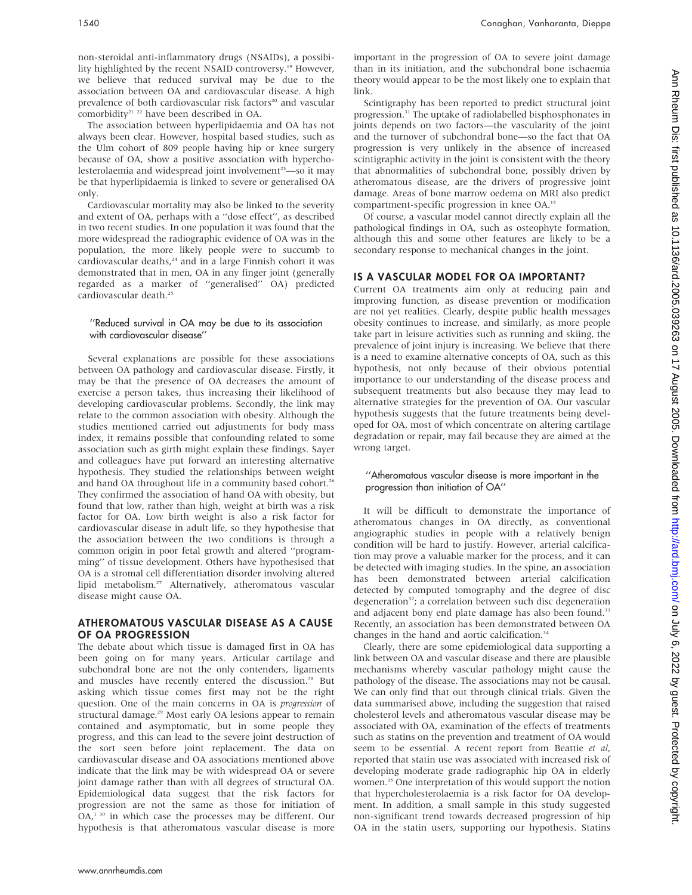non-steroidal anti-inflammatory drugs (NSAIDs), a possibility highlighted by the recent NSAID controversy.<sup>19</sup> However, we believe that reduced survival may be due to the association between OA and cardiovascular disease. A high prevalence of both cardiovascular risk factors<sup>20</sup> and vascular comorbidity<sup>21-22</sup> have been described in OA.

The association between hyperlipidaemia and OA has not always been clear. However, hospital based studies, such as the Ulm cohort of 809 people having hip or knee surgery because of OA, show a positive association with hypercholesterolaemia and widespread joint involvement<sup>23</sup>—so it may be that hyperlipidaemia is linked to severe or generalised OA only.

Cardiovascular mortality may also be linked to the severity and extent of OA, perhaps with a ''dose effect'', as described in two recent studies. In one population it was found that the more widespread the radiographic evidence of OA was in the population, the more likely people were to succumb to cardiovascular deaths, $24$  and in a large Finnish cohort it was demonstrated that in men, OA in any finger joint (generally regarded as a marker of ''generalised'' OA) predicted cardiovascular death.<sup>25</sup>

#### ''Reduced survival in OA may be due to its association with cardiovascular disease''

Several explanations are possible for these associations between OA pathology and cardiovascular disease. Firstly, it may be that the presence of OA decreases the amount of exercise a person takes, thus increasing their likelihood of developing cardiovascular problems. Secondly, the link may relate to the common association with obesity. Although the studies mentioned carried out adjustments for body mass index, it remains possible that confounding related to some association such as girth might explain these findings. Sayer and colleagues have put forward an interesting alternative hypothesis. They studied the relationships between weight and hand OA throughout life in a community based cohort.<sup>26</sup> They confirmed the association of hand OA with obesity, but found that low, rather than high, weight at birth was a risk factor for OA. Low birth weight is also a risk factor for cardiovascular disease in adult life, so they hypothesise that the association between the two conditions is through a common origin in poor fetal growth and altered ''programming'' of tissue development. Others have hypothesised that OA is a stromal cell differentiation disorder involving altered lipid metabolism.27 Alternatively, atheromatous vascular disease might cause OA.

#### ATHEROMATOUS VASCULAR DISEASE AS A CAUSE OF OA PROGRESSION

The debate about which tissue is damaged first in OA has been going on for many years. Articular cartilage and subchondral bone are not the only contenders, ligaments and muscles have recently entered the discussion.<sup>28</sup> But asking which tissue comes first may not be the right question. One of the main concerns in OA is progression of structural damage.<sup>29</sup> Most early OA lesions appear to remain contained and asymptomatic, but in some people they progress, and this can lead to the severe joint destruction of the sort seen before joint replacement. The data on cardiovascular disease and OA associations mentioned above indicate that the link may be with widespread OA or severe joint damage rather than with all degrees of structural OA. Epidemiological data suggest that the risk factors for progression are not the same as those for initiation of  $OA<sub>r</sub><sup>1 30</sup>$  in which case the processes may be different. Our hypothesis is that atheromatous vascular disease is more

www.annrheumdis.com

important in the progression of OA to severe joint damage than in its initiation, and the subchondral bone ischaemia theory would appear to be the most likely one to explain that link.

Scintigraphy has been reported to predict structural joint progression.<sup>31</sup> The uptake of radiolabelled bisphosphonates in joints depends on two factors—the vascularity of the joint and the turnover of subchondral bone—so the fact that OA progression is very unlikely in the absence of increased scintigraphic activity in the joint is consistent with the theory that abnormalities of subchondral bone, possibly driven by atheromatous disease, are the drivers of progressive joint damage. Areas of bone marrow oedema on MRI also predict compartment-specific progression in knee OA.15

Of course, a vascular model cannot directly explain all the pathological findings in OA, such as osteophyte formation, although this and some other features are likely to be a secondary response to mechanical changes in the joint.

# IS A VASCULAR MODEL FOR OA IMPORTANT?

Current OA treatments aim only at reducing pain and improving function, as disease prevention or modification are not yet realities. Clearly, despite public health messages obesity continues to increase, and similarly, as more people take part in leisure activities such as running and skiing, the prevalence of joint injury is increasing. We believe that there is a need to examine alternative concepts of OA, such as this hypothesis, not only because of their obvious potential importance to our understanding of the disease process and subsequent treatments but also because they may lead to alternative strategies for the prevention of OA. Our vascular hypothesis suggests that the future treatments being developed for OA, most of which concentrate on altering cartilage degradation or repair, may fail because they are aimed at the wrong target.

#### ''Atheromatous vascular disease is more important in the progression than initiation of OA''

It will be difficult to demonstrate the importance of atheromatous changes in OA directly, as conventional angiographic studies in people with a relatively benign condition will be hard to justify. However, arterial calcification may prove a valuable marker for the process, and it can be detected with imaging studies. In the spine, an association has been demonstrated between arterial calcification detected by computed tomography and the degree of disc degeneration<sup>32</sup>; a correlation between such disc degeneration and adjacent bony end plate damage has also been found.<sup>33</sup> Recently, an association has been demonstrated between OA changes in the hand and aortic calcification.<sup>34</sup>

Clearly, there are some epidemiological data supporting a link between OA and vascular disease and there are plausible mechanisms whereby vascular pathology might cause the pathology of the disease. The associations may not be causal. We can only find that out through clinical trials. Given the data summarised above, including the suggestion that raised cholesterol levels and atheromatous vascular disease may be associated with OA, examination of the effects of treatments such as statins on the prevention and treatment of OA would seem to be essential. A recent report from Beattie et al, reported that statin use was associated with increased risk of developing moderate grade radiographic hip OA in elderly women.35 One interpretation of this would support the notion that hypercholesterolaemia is a risk factor for OA development. In addition, a small sample in this study suggested non-significant trend towards decreased progression of hip OA in the statin users, supporting our hypothesis. Statins